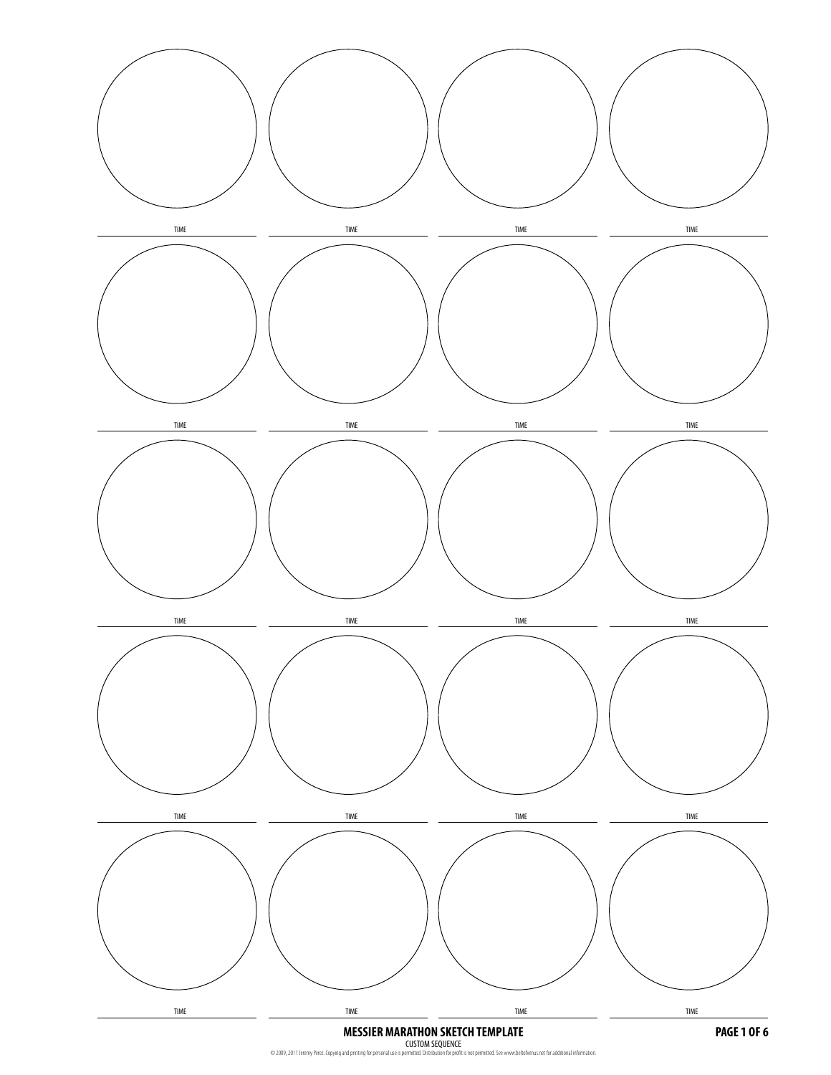

CUSTOM SEQUENCE<br>© 2009, 2011 Jeremy Perez. Copying and printing for personal use is permitted. Distribution for profit is not permitted. See www.beltofvenus.net for additional information.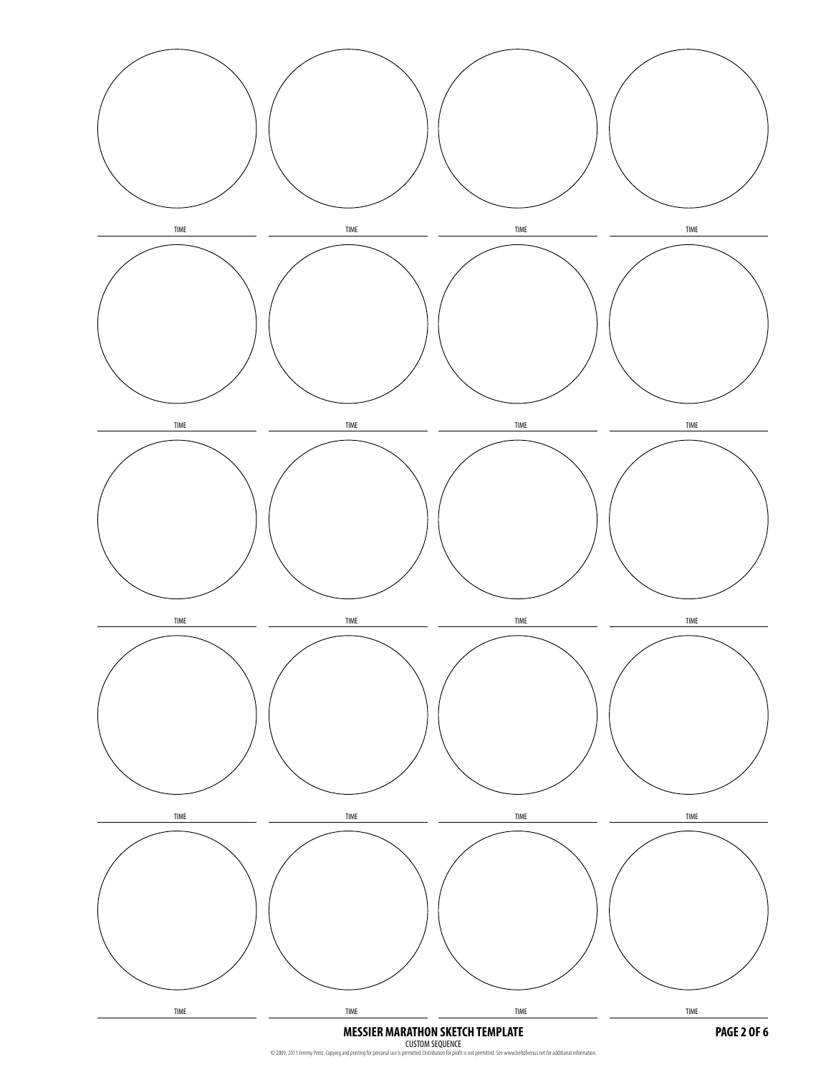

CUSTOM SEQUENCE<br>© 2009, 2011 Jeremy Perez. Copying and printing for personal use is permitted. Distribution for profit is not permitted. See www.beltofvenus.net for additional information.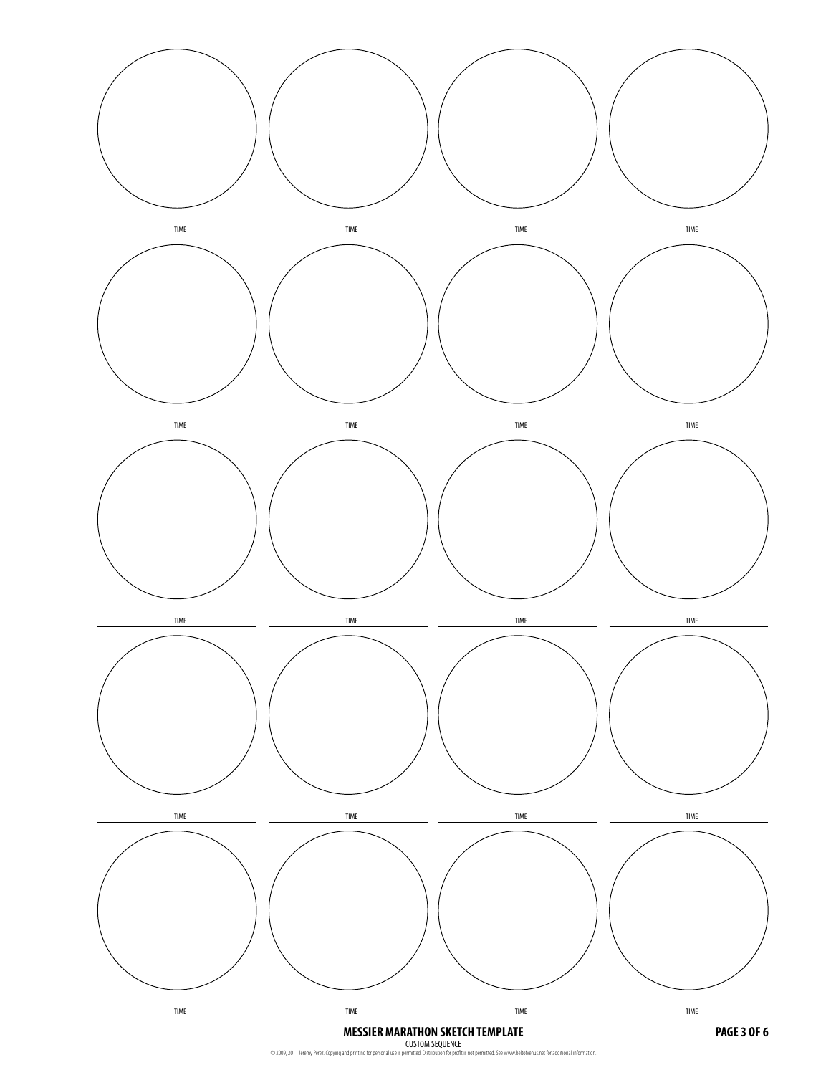

CUSTOM SEQUENCE<br>© 2009, 2011 Jeremy Perez. Copying and printing for personal use is permitted. Distribution for profit is not permitted. See www.beltofvenus.net for additional information.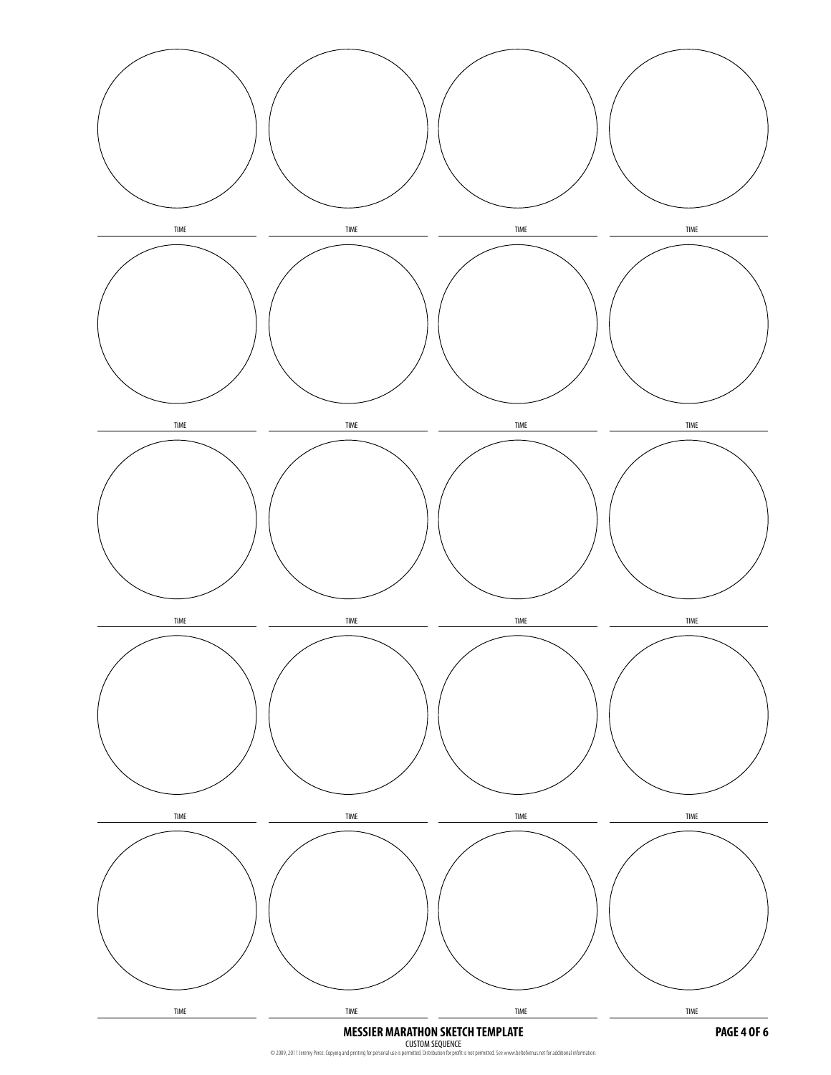

CUSTOM SEQUENCE<br>© 2009, 2011 Jeremy Perez. Copying and printing for personal use is permitted. Distribution for profit is not permitted. See www.beltofvenus.net for additional information.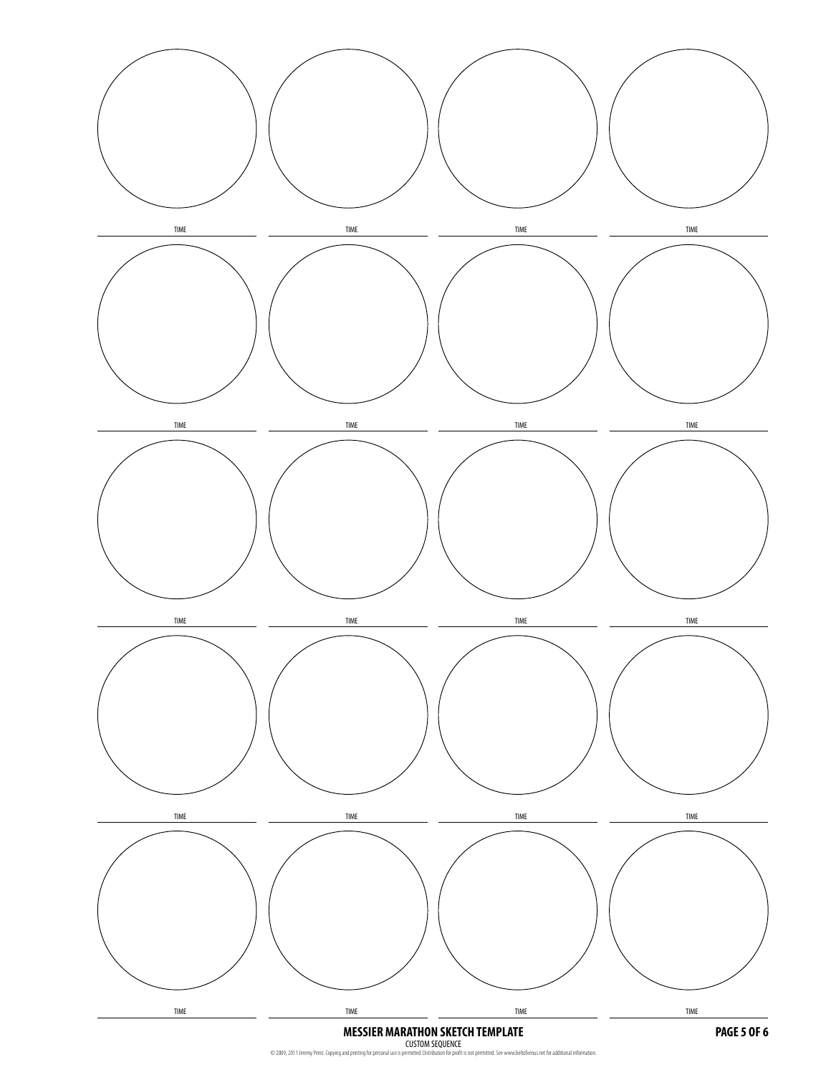

CUSTOM SEQUENCE<br>© 2009, 2011 Jeremy Perez. Copying and printing for personal use is permitted. Distribution for profit is not permitted. See www.beltofvenus.net for additional information.